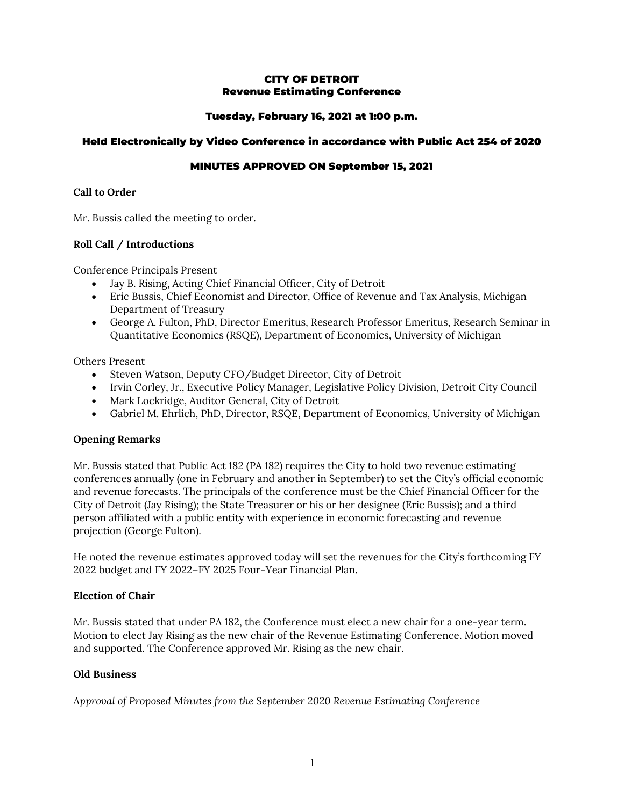### CITY OF DETROIT Revenue Estimating Conference

## Tuesday, February 16, 2021 at 1:00 p.m.

### Held Electronically by Video Conference in accordance with Public Act 254 of 2020

# MINUTES APPROVED ON September 15, 2021

#### **Call to Order**

Mr. Bussis called the meeting to order.

### **Roll Call / Introductions**

Conference Principals Present

- Jay B. Rising, Acting Chief Financial Officer, City of Detroit
- Eric Bussis, Chief Economist and Director, Office of Revenue and Tax Analysis, Michigan Department of Treasury
- George A. Fulton, PhD, Director Emeritus, Research Professor Emeritus, Research Seminar in Quantitative Economics (RSQE), Department of Economics, University of Michigan

#### Others Present

- Steven Watson, Deputy CFO/Budget Director, City of Detroit
- Irvin Corley, Jr., Executive Policy Manager, Legislative Policy Division, Detroit City Council
- Mark Lockridge, Auditor General, City of Detroit
- Gabriel M. Ehrlich, PhD, Director, RSQE, Department of Economics, University of Michigan

### **Opening Remarks**

Mr. Bussis stated that Public Act 182 (PA 182) requires the City to hold two revenue estimating conferences annually (one in February and another in September) to set the City's official economic and revenue forecasts. The principals of the conference must be the Chief Financial Officer for the City of Detroit (Jay Rising); the State Treasurer or his or her designee (Eric Bussis); and a third person affiliated with a public entity with experience in economic forecasting and revenue projection (George Fulton).

He noted the revenue estimates approved today will set the revenues for the City's forthcoming FY 2022 budget and FY 2022–FY 2025 Four-Year Financial Plan.

### **Election of Chair**

Mr. Bussis stated that under PA 182, the Conference must elect a new chair for a one-year term. Motion to elect Jay Rising as the new chair of the Revenue Estimating Conference. Motion moved and supported. The Conference approved Mr. Rising as the new chair.

### **Old Business**

*Approval of Proposed Minutes from the September 2020 Revenue Estimating Conference*